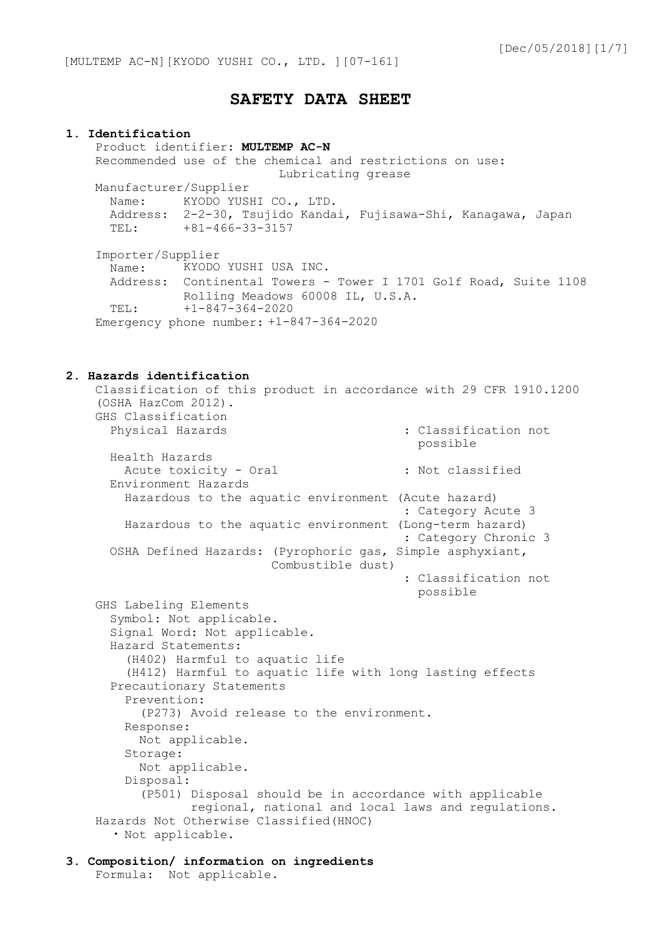# **SAFETY DATA SHEET**

#### **1. Identification**

Product identifier: **MULTEMP AC-N** Recommended use of the chemical and restrictions on use: Lubricating grease Manufacturer/Supplier Name: KYODO YUSHI CO., LTD. Address: 2-2-30, Tsujido Kandai, Fujisawa-Shi, Kanagawa, Japan TEL: +81-466-33-3157 Importer/Supplier Name: Address: Continental Towers - Tower I 1701 Golf Road, Suite 1108 TEL: KYODO YUSHI USA INC. Rolling Meadows 60008 IL, U.S.A. +1-847-364-2020

Emergency phone number: +1-847-364-2020

#### **2. Hazards identification**

Classification of this product in accordance with 29 CFR 1910.1200 (OSHA HazCom 2012). GHS Classification Physical Hazards  $\qquad \qquad : \text{Classification not}$ possible Health Hazards Acute toxicity - Oral : Not classified Environment Hazards Hazardous to the aquatic environment (Acute hazard) : Category Acute 3 Hazardous to the aquatic environment (Long-term hazard) : Category Chronic 3 OSHA Defined Hazards: (Pyrophoric gas, Simple asphyxiant, Combustible dust) : Classification not possible GHS Labeling Elements Symbol: Not applicable. Signal Word: Not applicable. Hazard Statements: (H402) Harmful to aquatic life (H412) Harmful to aquatic life with long lasting effects Precautionary Statements Prevention: (P273) Avoid release to the environment. Response: Not applicable. Storage: Not applicable. Disposal: (P501) Disposal should be in accordance with applicable regional, national and local laws and regulations. Hazards Not Otherwise Classified(HNOC) ・ Not applicable.

#### **3. Composition/ information on ingredients** Formula: Not applicable.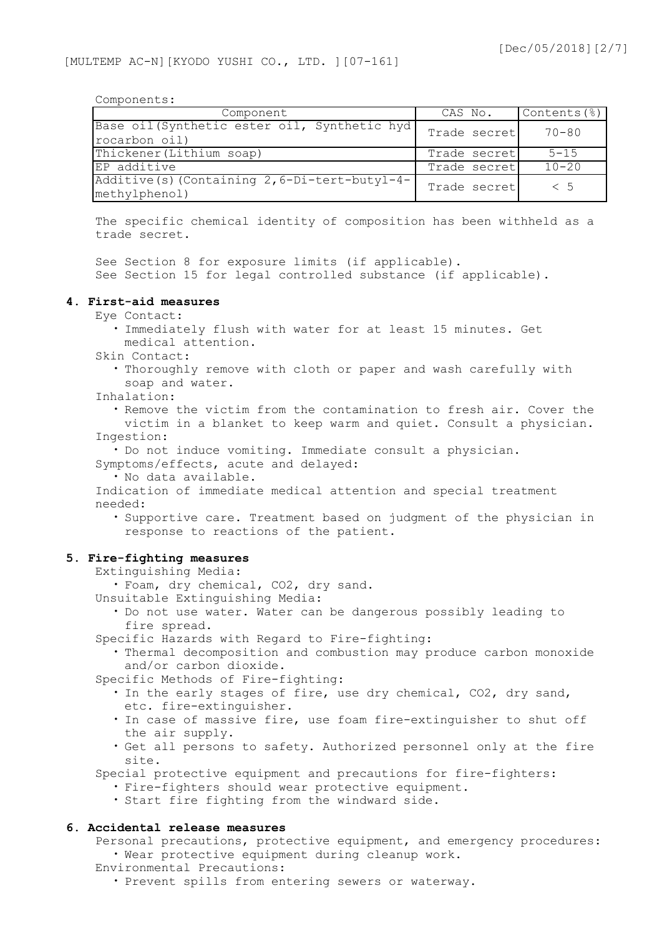Components:

| Component                                                       | CAS No.      | Contents (%) |
|-----------------------------------------------------------------|--------------|--------------|
| Base oil (Synthetic ester oil, Synthetic hyd)<br>rocarbon oil)  | Trade secret | $70 - 80$    |
| Thickener (Lithium soap)                                        | Trade secret | $5 - 15$     |
| EP additive                                                     | Trade secret | $10 - 20$    |
| Additive (s) (Containing 2, 6-Di-tert-butyl-4-<br>methylphenol) | Trade secret | < 5          |

The specific chemical identity of composition has been withheld as a trade secret.

See Section 8 for exposure limits (if applicable). See Section 15 for legal controlled substance (if applicable).

#### **4. First-aid measures**

- Eye Contact:
	- ・ Immediately flush with water for at least 15 minutes. Get medical attention.
- Skin Contact:
	- ・ Thoroughly remove with cloth or paper and wash carefully with soap and water.
- Inhalation:

・ Remove the victim from the contamination to fresh air. Cover the victim in a blanket to keep warm and quiet. Consult a physician. Ingestion:

・ Do not induce vomiting. Immediate consult a physician.

Symptoms/effects, acute and delayed:

・ No data available.

Indication of immediate medical attention and special treatment needed:

・ Supportive care. Treatment based on judgment of the physician in response to reactions of the patient.

#### **5. Fire-fighting measures**

Extinguishing Media:

・ Foam, dry chemical, CO2, dry sand.

- Unsuitable Extinguishing Media:
	- ・ Do not use water. Water can be dangerous possibly leading to fire spread.
- Specific Hazards with Regard to Fire-fighting:
	- ・ Thermal decomposition and combustion may produce carbon monoxide and/or carbon dioxide.

Specific Methods of Fire-fighting:

- ・ In the early stages of fire, use dry chemical, CO2, dry sand, etc. fire-extinguisher.
- ・ In case of massive fire, use foam fire-extinguisher to shut off the air supply.
- ・ Get all persons to safety. Authorized personnel only at the fire site.

Special protective equipment and precautions for fire-fighters:

- ・ Fire-fighters should wear protective equipment.
- ・ Start fire fighting from the windward side.

## **6. Accidental release measures**

Personal precautions, protective equipment, and emergency procedures: ・ Wear protective equipment during cleanup work.

Environmental Precautions:

・ Prevent spills from entering sewers or waterway.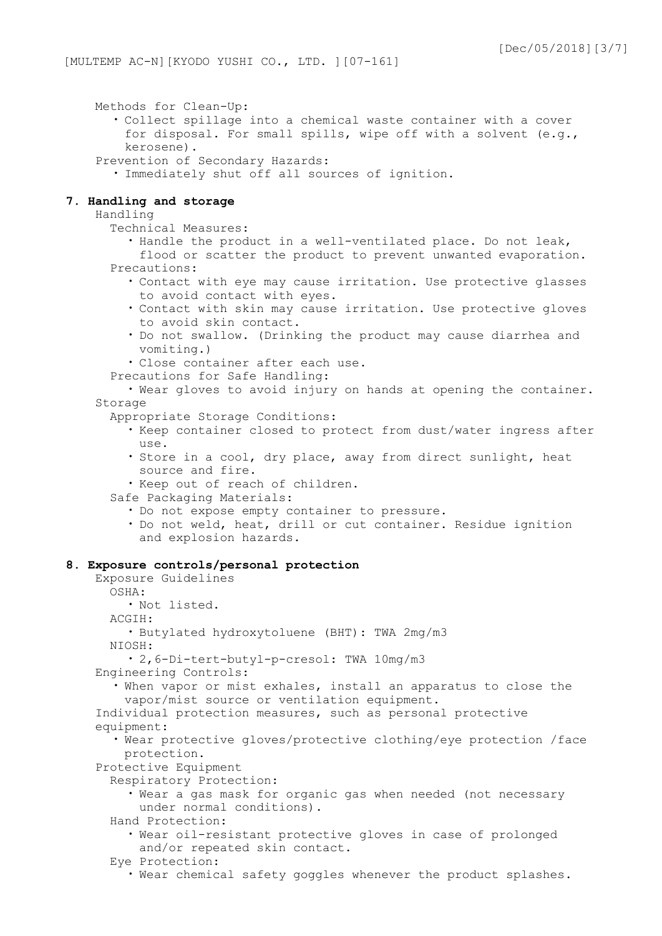Methods for Clean-Up:

- ・ Collect spillage into a chemical waste container with a cover for disposal. For small spills, wipe off with a solvent (e.g., kerosene).
- Prevention of Secondary Hazards:
	- ・ Immediately shut off all sources of ignition.

### **7. Handling and storage**

Handling

Technical Measures:

・ Handle the product in a well-ventilated place. Do not leak,

flood or scatter the product to prevent unwanted evaporation. Precautions:

- ・ Contact with eye may cause irritation. Use protective glasses to avoid contact with eyes.
- ・ Contact with skin may cause irritation. Use protective gloves to avoid skin contact.
- ・ Do not swallow. (Drinking the product may cause diarrhea and vomiting.)
- ・ Close container after each use.
- Precautions for Safe Handling:

・ Wear gloves to avoid injury on hands at opening the container. Storage

Appropriate Storage Conditions:

- ・ Keep container closed to protect from dust/water ingress after use.
- ・ Store in a cool, dry place, away from direct sunlight, heat source and fire.
- ・ Keep out of reach of children.

Safe Packaging Materials:

- ・ Do not expose empty container to pressure.
- ・ Do not weld, heat, drill or cut container. Residue ignition and explosion hazards.

### **8. Exposure controls/personal protection**

Exposure Guidelines OSHA: ・ Not listed. ACGIH: ・ Butylated hydroxytoluene (BHT): TWA 2mg/m3 NIOSH: ・ 2,6-Di-tert-butyl-p-cresol: TWA 10mg/m3 Engineering Controls: ・ When vapor or mist exhales, install an apparatus to close the vapor/mist source or ventilation equipment. Individual protection measures, such as personal protective equipment: ・ Wear protective gloves/protective clothing/eye protection /face protection. Protective Equipment Respiratory Protection: ・ Wear a gas mask for organic gas when needed (not necessary under normal conditions). Hand Protection: ・ Wear oil-resistant protective gloves in case of prolonged and/or repeated skin contact. Eye Protection: ・ Wear chemical safety goggles whenever the product splashes.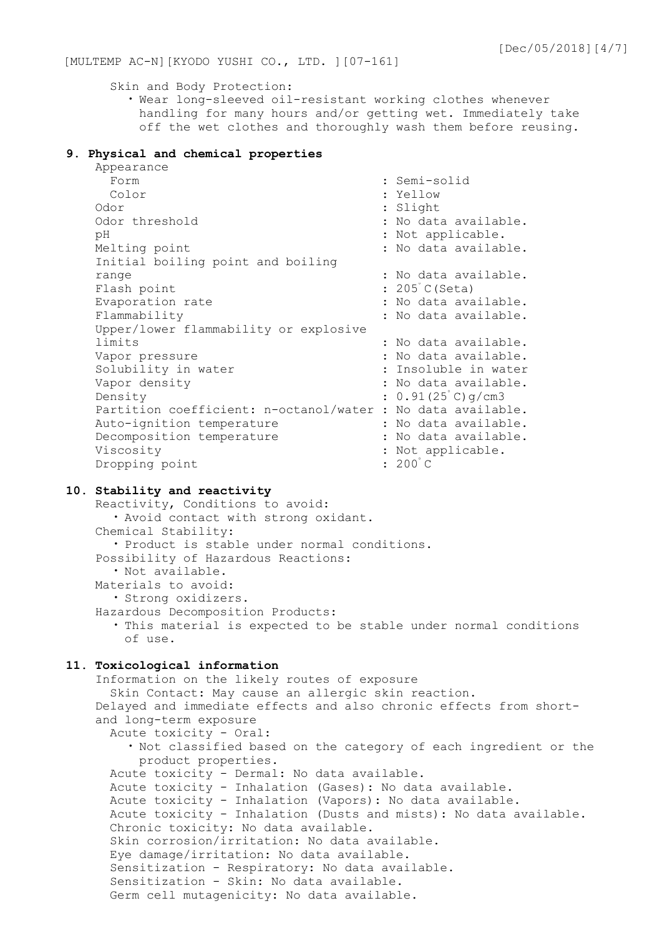Skin and Body Protection:

・ Wear long-sleeved oil-resistant working clothes whenever handling for many hours and/or getting wet. Immediately take off the wet clothes and thoroughly wash them before reusing.

## **9. Physical and chemical properties**

| Appearance                               |                             |
|------------------------------------------|-----------------------------|
| Form                                     | : Semi-solid                |
| Color                                    | : Yellow                    |
| Odor                                     | : Slight                    |
| Odor threshold                           | : No data available.        |
| рH                                       | : Not applicable.           |
| Melting point                            | : No data available.        |
| Initial boiling point and boiling        |                             |
| range                                    | : No data available.        |
| Flash point                              | : 205 C (Seta)              |
| Evaporation rate                         | : No data available.        |
| Flammability                             | : No data available.        |
| Upper/lower flammability or explosive    |                             |
| limits                                   | : No data available.        |
| Vapor pressure                           | : No data available.        |
| Solubility in water                      | : Insoluble in water        |
| Vapor density                            | : No data available.        |
| Density                                  | $: 0.91(25^{\circ}C)$ g/cm3 |
| Partition coefficient: n-octanol/water : | No data available.          |
| Auto-ignition temperature                | : No data available.        |
| Decomposition temperature                | : No data available.        |
| Viscosity                                | : Not applicable.           |
| Dropping point                           | $: 200^{\circ}$ C           |

### **10. Stability and reactivity**

Reactivity, Conditions to avoid: ・ Avoid contact with strong oxidant. Chemical Stability: ・ Product is stable under normal conditions. Possibility of Hazardous Reactions: ・ Not available. Materials to avoid: ・ Strong oxidizers. Hazardous Decomposition Products: ・ This material is expected to be stable under normal conditions of use.

## **11. Toxicological information**

```
Information on the likely routes of exposure
  Skin Contact: May cause an allergic skin reaction.
Delayed and immediate effects and also chronic effects from short-
and long-term exposure
 Acute toxicity - Oral:
    ・ Not classified based on the category of each ingredient or the 
     product properties.
 Acute toxicity - Dermal: No data available.
 Acute toxicity - Inhalation (Gases): No data available.
 Acute toxicity - Inhalation (Vapors): No data available.
 Acute toxicity - Inhalation (Dusts and mists): No data available.
 Chronic toxicity: No data available.
 Skin corrosion/irritation: No data available.
 Eye damage/irritation: No data available.
 Sensitization - Respiratory: No data available.
 Sensitization - Skin: No data available.
```

```
Germ cell mutagenicity: No data available.
```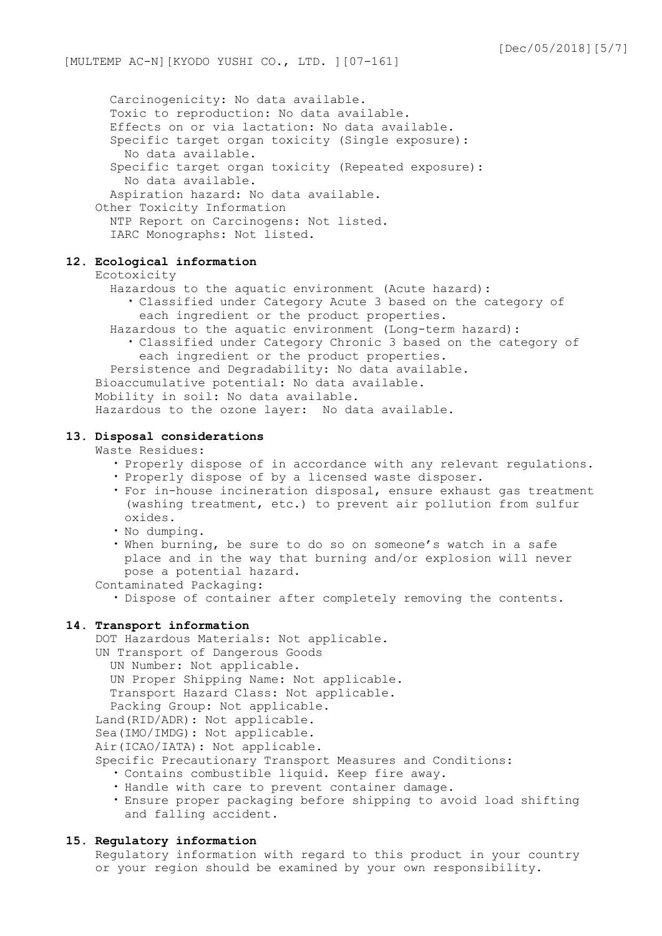Carcinogenicity: No data available. Toxic to reproduction: No data available. Effects on or via lactation: No data available. Specific target organ toxicity (Single exposure): No data available. Specific target organ toxicity (Repeated exposure): No data available. Aspiration hazard: No data available. Other Toxicity Information NTP Report on Carcinogens: Not listed. IARC Monographs: Not listed.

## **12. Ecological information**

## Ecotoxicity

- Hazardous to the aquatic environment (Acute hazard):
	- ・ Classified under Category Acute 3 based on the category of each ingredient or the product properties.
- Hazardous to the aquatic environment (Long-term hazard): ・ Classified under Category Chronic 3 based on the category of each ingredient or the product properties.

Persistence and Degradability: No data available.

- Bioaccumulative potential: No data available.
- Mobility in soil: No data available.

Hazardous to the ozone layer: No data available.

### **13. Disposal considerations**

Waste Residues:

- ・ Properly dispose of in accordance with any relevant regulations.
- ・ Properly dispose of by a licensed waste disposer.
- ・ For in-house incineration disposal, ensure exhaust gas treatment (washing treatment, etc.) to prevent air pollution from sulfur oxides.
- ・ No dumping.
- ・ When burning, be sure to do so on someone's watch in a safe place and in the way that burning and/or explosion will never pose a potential hazard.

Contaminated Packaging:

・ Dispose of container after completely removing the contents.

### **14. Transport information**

DOT Hazardous Materials: Not applicable. UN Transport of Dangerous Goods UN Number: Not applicable. UN Proper Shipping Name: Not applicable. Transport Hazard Class: Not applicable. Packing Group: Not applicable. Land(RID/ADR): Not applicable. Sea(IMO/IMDG): Not applicable. Air(ICAO/IATA): Not applicable. Specific Precautionary Transport Measures and Conditions: ・ Contains combustible liquid. Keep fire away.

- ・ Handle with care to prevent container damage.
- ・ Ensure proper packaging before shipping to avoid load shifting and falling accident.

#### **15. Regulatory information**

Regulatory information with regard to this product in your country or your region should be examined by your own responsibility.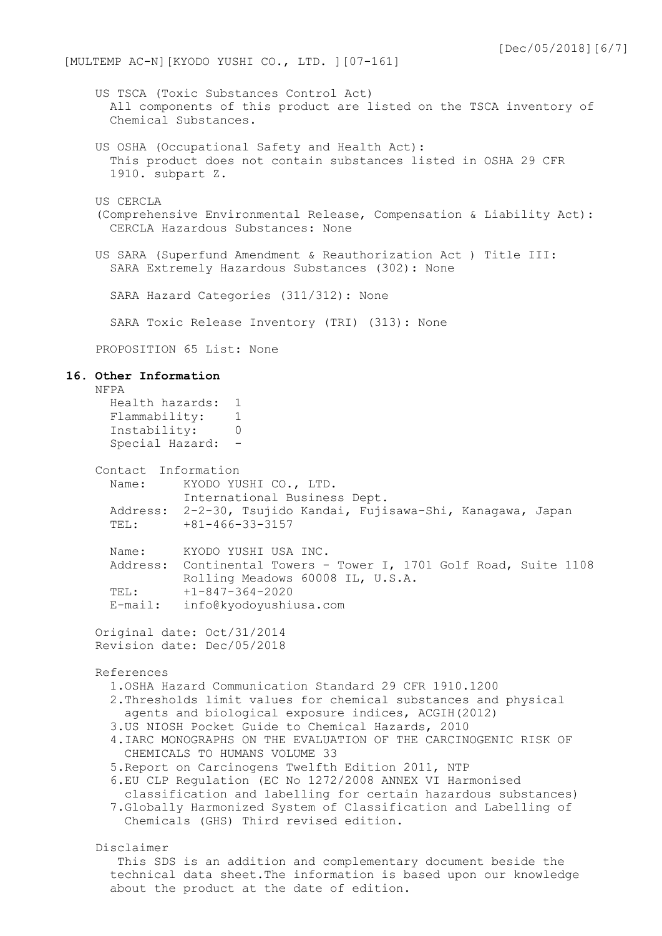US TSCA (Toxic Substances Control Act) All components of this product are listed on the TSCA inventory of Chemical Substances. US OSHA (Occupational Safety and Health Act): This product does not contain substances listed in OSHA 29 CFR 1910. subpart Z. US CERCLA (Comprehensive Environmental Release, Compensation & Liability Act): CERCLA Hazardous Substances: None US SARA (Superfund Amendment & Reauthorization Act ) Title III: SARA Extremely Hazardous Substances (302): None SARA Hazard Categories (311/312): None SARA Toxic Release Inventory (TRI) (313): None PROPOSITION 65 List: None **16. Other Information** NFPA Health hazards: 1 Flammability: 1<br>Tnstability: 0 Instability: 0 Special Hazard: -Contact Information Name: KYODO YUSHI CO., LTD. International Business Dept. Address: 2-2-30, Tsujido Kandai, Fujisawa-Shi, Kanagawa, Japan TEL: +81-466-33-3157 Name: KYODO YUSHI USA INC. Address: Continental Towers - Tower I, 1701 Golf Road, Suite 1108 Rolling Meadows 60008 IL, U.S.A. TEL: +1-847-364-2020 E-mail: info@kyodoyushiusa.com Original date: Oct/31/2014 Revision date: Dec/05/2018 References 1.OSHA Hazard Communication Standard 29 CFR 1910.1200 2.Thresholds limit values for chemical substances and physical agents and biological exposure indices, ACGIH(2012) 3.US NIOSH Pocket Guide to Chemical Hazards, 2010 4.IARC MONOGRAPHS ON THE EVALUATION OF THE CARCINOGENIC RISK OF CHEMICALS TO HUMANS VOLUME 33 5.Report on Carcinogens Twelfth Edition 2011, NTP 6.EU CLP Regulation (EC No 1272/2008 ANNEX VI Harmonised classification and labelling for certain hazardous substances) 7.Globally Harmonized System of Classification and Labelling of Chemicals (GHS) Third revised edition. Disclaimer This SDS is an addition and complementary document beside the technical data sheet.The information is based upon our knowledge about the product at the date of edition.